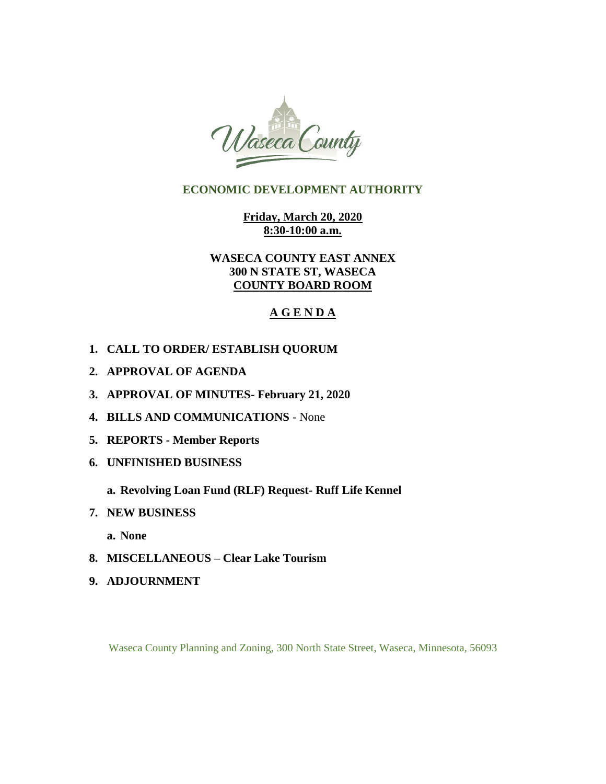

# **ECONOMIC DEVELOPMENT AUTHORITY**

**Friday, March 20, 2020 8:30-10:00 a.m.** 

**WASECA COUNTY EAST ANNEX 300 N STATE ST, WASECA COUNTY BOARD ROOM**

# **A G E N D A**

- **1. CALL TO ORDER/ ESTABLISH QUORUM**
- **2. APPROVAL OF AGENDA**
- **3. APPROVAL OF MINUTES- February 21, 2020**
- **4. BILLS AND COMMUNICATIONS**  None
- **5. REPORTS - Member Reports**
- **6. UNFINISHED BUSINESS**
	- **a. Revolving Loan Fund (RLF) Request- Ruff Life Kennel**
- **7. NEW BUSINESS** 
	- **a. None**
- **8. MISCELLANEOUS – Clear Lake Tourism**
- **9. ADJOURNMENT**

Waseca County Planning and Zoning, 300 North State Street, Waseca, Minnesota, 56093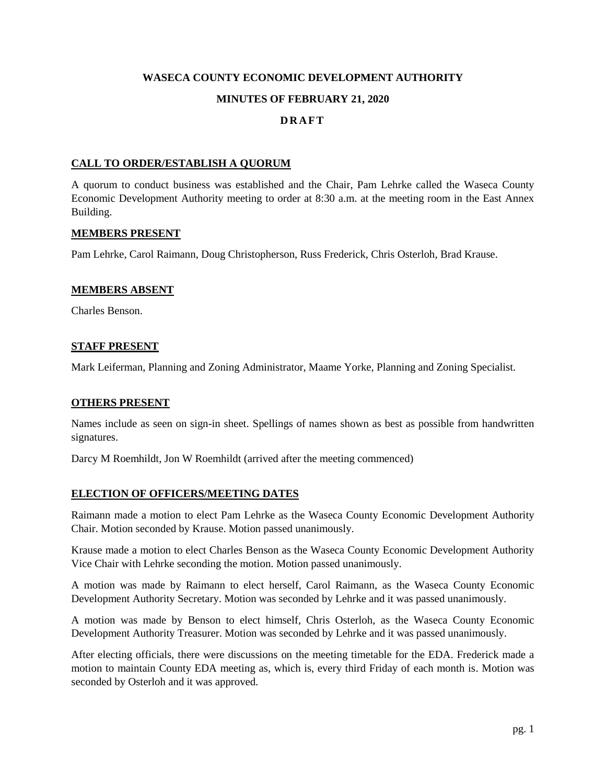# **WASECA COUNTY ECONOMIC DEVELOPMENT AUTHORITY**

#### **MINUTES OF FEBRUARY 21, 2020**

### **D R A F T**

#### **CALL TO ORDER/ESTABLISH A QUORUM**

A quorum to conduct business was established and the Chair, Pam Lehrke called the Waseca County Economic Development Authority meeting to order at 8:30 a.m. at the meeting room in the East Annex Building.

#### **MEMBERS PRESENT**

Pam Lehrke, Carol Raimann, Doug Christopherson, Russ Frederick, Chris Osterloh, Brad Krause.

#### **MEMBERS ABSENT**

Charles Benson.

#### **STAFF PRESENT**

Mark Leiferman, Planning and Zoning Administrator, Maame Yorke, Planning and Zoning Specialist.

#### **OTHERS PRESENT**

Names include as seen on sign-in sheet. Spellings of names shown as best as possible from handwritten signatures.

Darcy M Roemhildt, Jon W Roemhildt (arrived after the meeting commenced)

#### **ELECTION OF OFFICERS/MEETING DATES**

Raimann made a motion to elect Pam Lehrke as the Waseca County Economic Development Authority Chair. Motion seconded by Krause. Motion passed unanimously.

Krause made a motion to elect Charles Benson as the Waseca County Economic Development Authority Vice Chair with Lehrke seconding the motion. Motion passed unanimously.

A motion was made by Raimann to elect herself, Carol Raimann, as the Waseca County Economic Development Authority Secretary. Motion was seconded by Lehrke and it was passed unanimously.

A motion was made by Benson to elect himself, Chris Osterloh, as the Waseca County Economic Development Authority Treasurer. Motion was seconded by Lehrke and it was passed unanimously.

After electing officials, there were discussions on the meeting timetable for the EDA. Frederick made a motion to maintain County EDA meeting as, which is, every third Friday of each month is. Motion was seconded by Osterloh and it was approved.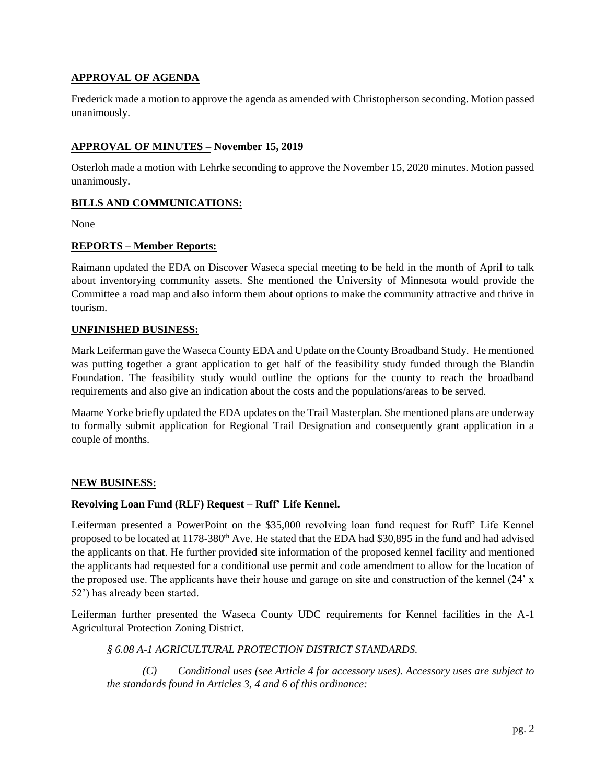### **APPROVAL OF AGENDA**

Frederick made a motion to approve the agenda as amended with Christopherson seconding. Motion passed unanimously.

### **APPROVAL OF MINUTES – November 15, 2019**

Osterloh made a motion with Lehrke seconding to approve the November 15, 2020 minutes. Motion passed unanimously.

### **BILLS AND COMMUNICATIONS:**

None

#### **REPORTS – Member Reports:**

Raimann updated the EDA on Discover Waseca special meeting to be held in the month of April to talk about inventorying community assets. She mentioned the University of Minnesota would provide the Committee a road map and also inform them about options to make the community attractive and thrive in tourism.

### **UNFINISHED BUSINESS:**

Mark Leiferman gave the Waseca County EDA and Update on the County Broadband Study. He mentioned was putting together a grant application to get half of the feasibility study funded through the Blandin Foundation. The feasibility study would outline the options for the county to reach the broadband requirements and also give an indication about the costs and the populations/areas to be served.

Maame Yorke briefly updated the EDA updates on the Trail Masterplan. She mentioned plans are underway to formally submit application for Regional Trail Designation and consequently grant application in a couple of months.

#### **NEW BUSINESS:**

#### **Revolving Loan Fund (RLF) Request – Ruff' Life Kennel.**

Leiferman presented a PowerPoint on the \$35,000 revolving loan fund request for Ruff' Life Kennel proposed to be located at 1178-380<sup>th</sup> Ave. He stated that the EDA had \$30,895 in the fund and had advised the applicants on that. He further provided site information of the proposed kennel facility and mentioned the applicants had requested for a conditional use permit and code amendment to allow for the location of the proposed use. The applicants have their house and garage on site and construction of the kennel (24' x 52') has already been started.

Leiferman further presented the Waseca County UDC requirements for Kennel facilities in the A-1 Agricultural Protection Zoning District.

*§ 6.08 A-1 AGRICULTURAL PROTECTION DISTRICT STANDARDS.*

*(C) Conditional uses (see Article 4 for accessory uses). Accessory uses are subject to the standards found in Articles 3, 4 and 6 of this ordinance:*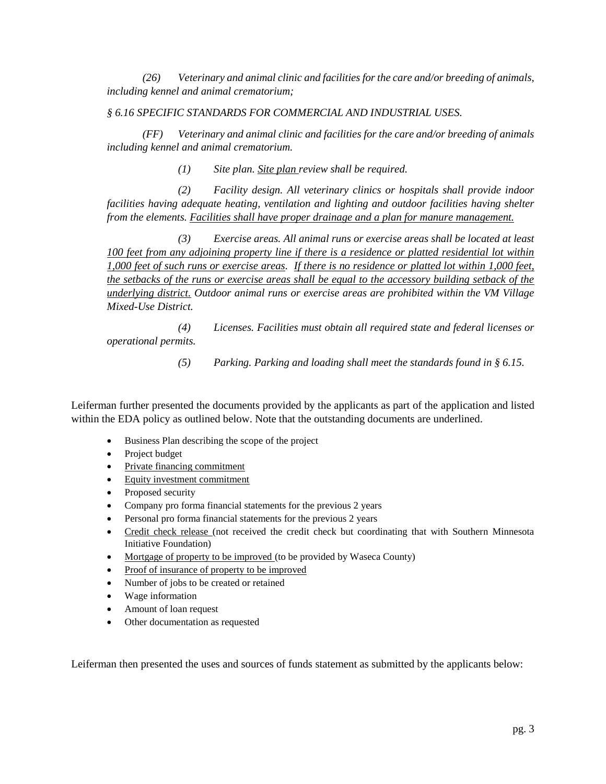*(26) Veterinary and animal clinic and facilities for the care and/or breeding of animals, including kennel and animal crematorium;*

### *§ 6.16 SPECIFIC STANDARDS FOR COMMERCIAL AND INDUSTRIAL USES.*

*(FF) Veterinary and animal clinic and facilities for the care and/or breeding of animals including kennel and animal crematorium.*

*(1) Site plan. Site plan review shall be required.*

*(2) Facility design. All veterinary clinics or hospitals shall provide indoor facilities having adequate heating, ventilation and lighting and outdoor facilities having shelter from the elements. Facilities shall have proper drainage and a plan for manure management.*

*(3) Exercise areas. All animal runs or exercise areas shall be located at least 100 feet from any adjoining property line if there is a residence or platted residential lot within 1,000 feet of such runs or exercise areas. If there is no residence or platted lot within 1,000 feet, the setbacks of the runs or exercise areas shall be equal to the accessory building setback of the underlying district. Outdoor animal runs or exercise areas are prohibited within the VM Village Mixed-Use District.*

*(4) Licenses. Facilities must obtain all required state and federal licenses or operational permits.*

*(5) Parking. Parking and loading shall meet the standards found in § 6.15.*

Leiferman further presented the documents provided by the applicants as part of the application and listed within the EDA policy as outlined below. Note that the outstanding documents are underlined.

- Business Plan describing the scope of the project
- Project budget
- Private financing commitment
- Equity investment commitment
- Proposed security
- Company pro forma financial statements for the previous 2 years
- Personal pro forma financial statements for the previous 2 years
- Credit check release (not received the credit check but coordinating that with Southern Minnesota Initiative Foundation)
- Mortgage of property to be improved (to be provided by Waseca County)
- Proof of insurance of property to be improved
- Number of jobs to be created or retained
- Wage information
- Amount of loan request
- Other documentation as requested

Leiferman then presented the uses and sources of funds statement as submitted by the applicants below: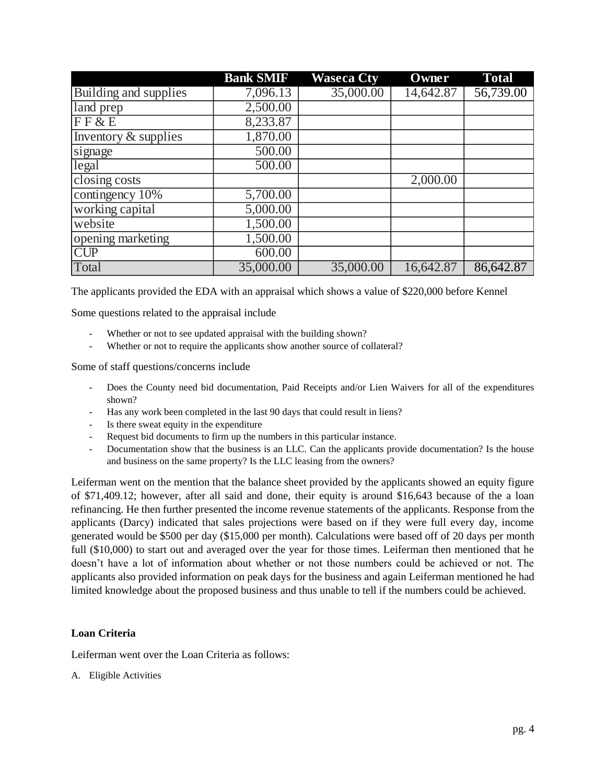|                       | <b>Bank SMIF</b> | <b>Waseca Cty</b> | Owner     | <b>Total</b> |
|-----------------------|------------------|-------------------|-----------|--------------|
| Building and supplies | 7,096.13         | 35,000.00         | 14,642.87 | 56,739.00    |
| land prep             | 2,500.00         |                   |           |              |
| F F & E E             | 8,233.87         |                   |           |              |
| Inventory & supplies  | 1,870.00         |                   |           |              |
| signage               | 500.00           |                   |           |              |
| legal                 | 500.00           |                   |           |              |
| closing costs         |                  |                   | 2,000.00  |              |
| contingency 10%       | 5,700.00         |                   |           |              |
| working capital       | 5,000.00         |                   |           |              |
| website               | 1,500.00         |                   |           |              |
| opening marketing     | 1,500.00         |                   |           |              |
| <b>CUP</b>            | 600.00           |                   |           |              |
| Total                 | 35,000.00        | 35,000.00         | 16,642.87 | 86,642.87    |

The applicants provided the EDA with an appraisal which shows a value of \$220,000 before Kennel

Some questions related to the appraisal include

- Whether or not to see updated appraisal with the building shown?
- Whether or not to require the applicants show another source of collateral?

Some of staff questions/concerns include

- Does the County need bid documentation, Paid Receipts and/or Lien Waivers for all of the expenditures shown?
- Has any work been completed in the last 90 days that could result in liens?
- Is there sweat equity in the expenditure
- Request bid documents to firm up the numbers in this particular instance.
- Documentation show that the business is an LLC. Can the applicants provide documentation? Is the house and business on the same property? Is the LLC leasing from the owners?

Leiferman went on the mention that the balance sheet provided by the applicants showed an equity figure of \$71,409.12; however, after all said and done, their equity is around \$16,643 because of the a loan refinancing. He then further presented the income revenue statements of the applicants. Response from the applicants (Darcy) indicated that sales projections were based on if they were full every day, income generated would be \$500 per day (\$15,000 per month). Calculations were based off of 20 days per month full (\$10,000) to start out and averaged over the year for those times. Leiferman then mentioned that he doesn't have a lot of information about whether or not those numbers could be achieved or not. The applicants also provided information on peak days for the business and again Leiferman mentioned he had limited knowledge about the proposed business and thus unable to tell if the numbers could be achieved.

#### **Loan Criteria**

Leiferman went over the Loan Criteria as follows:

A. Eligible Activities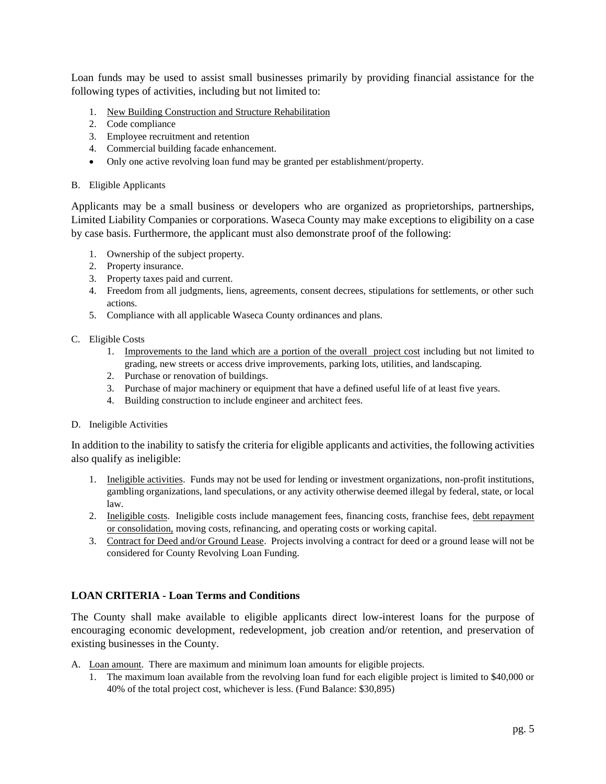Loan funds may be used to assist small businesses primarily by providing financial assistance for the following types of activities, including but not limited to:

- 1. New Building Construction and Structure Rehabilitation
- 2. Code compliance
- 3. Employee recruitment and retention
- 4. Commercial building facade enhancement.
- Only one active revolving loan fund may be granted per establishment/property.

#### B. Eligible Applicants

Applicants may be a small business or developers who are organized as proprietorships, partnerships, Limited Liability Companies or corporations. Waseca County may make exceptions to eligibility on a case by case basis. Furthermore, the applicant must also demonstrate proof of the following:

- 1. Ownership of the subject property.
- 2. Property insurance.
- 3. Property taxes paid and current.
- 4. Freedom from all judgments, liens, agreements, consent decrees, stipulations for settlements, or other such actions.
- 5. Compliance with all applicable Waseca County ordinances and plans.
- C. Eligible Costs
	- 1. Improvements to the land which are a portion of the overall project cost including but not limited to grading, new streets or access drive improvements, parking lots, utilities, and landscaping.
	- 2. Purchase or renovation of buildings.
	- 3. Purchase of major machinery or equipment that have a defined useful life of at least five years.
	- 4. Building construction to include engineer and architect fees.
- D. Ineligible Activities

In addition to the inability to satisfy the criteria for eligible applicants and activities, the following activities also qualify as ineligible:

- 1. Ineligible activities. Funds may not be used for lending or investment organizations, non-profit institutions, gambling organizations, land speculations, or any activity otherwise deemed illegal by federal, state, or local law.
- 2. Ineligible costs. Ineligible costs include management fees, financing costs, franchise fees, debt repayment or consolidation, moving costs, refinancing, and operating costs or working capital.
- 3. Contract for Deed and/or Ground Lease. Projects involving a contract for deed or a ground lease will not be considered for County Revolving Loan Funding.

#### **LOAN CRITERIA - Loan Terms and Conditions**

The County shall make available to eligible applicants direct low-interest loans for the purpose of encouraging economic development, redevelopment, job creation and/or retention, and preservation of existing businesses in the County.

- A. Loan amount. There are maximum and minimum loan amounts for eligible projects.
	- 1. The maximum loan available from the revolving loan fund for each eligible project is limited to \$40,000 or 40% of the total project cost, whichever is less. (Fund Balance: \$30,895)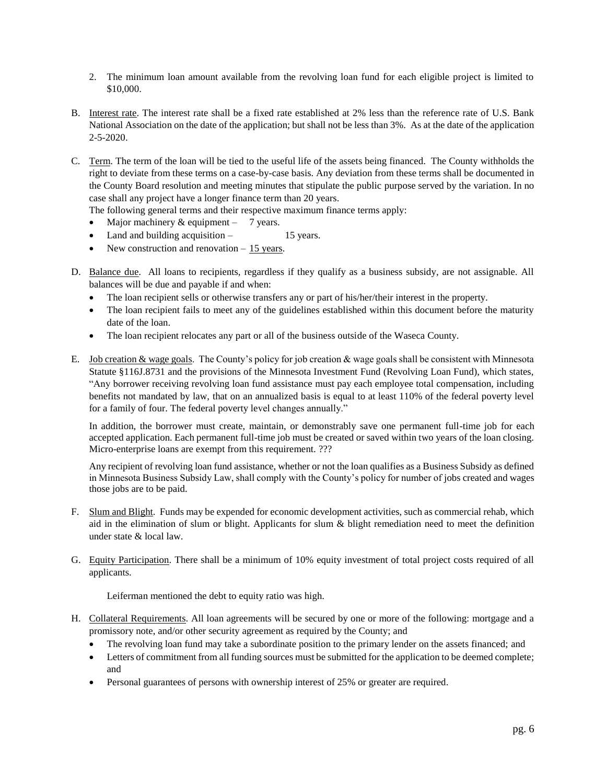- 2. The minimum loan amount available from the revolving loan fund for each eligible project is limited to \$10,000.
- B. Interest rate. The interest rate shall be a fixed rate established at 2% less than the reference rate of U.S. Bank National Association on the date of the application; but shall not be less than 3%. As at the date of the application  $2 - 5 - 2020$ .
- C. Term. The term of the loan will be tied to the useful life of the assets being financed. The County withholds the right to deviate from these terms on a case-by-case basis. Any deviation from these terms shall be documented in the County Board resolution and meeting minutes that stipulate the public purpose served by the variation. In no case shall any project have a longer finance term than 20 years.
	- The following general terms and their respective maximum finance terms apply:
	- Major machinery  $&$  equipment 7 years.
	- Land and building acquisition 15 years.
	- New construction and renovation 15 years.
- D. Balance due. All loans to recipients, regardless if they qualify as a business subsidy, are not assignable. All balances will be due and payable if and when:
	- The loan recipient sells or otherwise transfers any or part of his/her/their interest in the property.
	- The loan recipient fails to meet any of the guidelines established within this document before the maturity date of the loan.
	- The loan recipient relocates any part or all of the business outside of the Waseca County.
- E. Job creation  $&$  wage goals. The County's policy for job creation  $&$  wage goals shall be consistent with Minnesota Statute §116J.8731 and the provisions of the Minnesota Investment Fund (Revolving Loan Fund), which states, "Any borrower receiving revolving loan fund assistance must pay each employee total compensation, including benefits not mandated by law, that on an annualized basis is equal to at least 110% of the federal poverty level for a family of four. The federal poverty level changes annually."

In addition, the borrower must create, maintain, or demonstrably save one permanent full-time job for each accepted application. Each permanent full-time job must be created or saved within two years of the loan closing. Micro-enterprise loans are exempt from this requirement. ???

Any recipient of revolving loan fund assistance, whether or not the loan qualifies as a Business Subsidy as defined in Minnesota Business Subsidy Law, shall comply with the County's policy for number of jobs created and wages those jobs are to be paid.

- F. Slum and Blight. Funds may be expended for economic development activities, such as commercial rehab, which aid in the elimination of slum or blight. Applicants for slum  $\&$  blight remediation need to meet the definition under state & local law.
- G. Equity Participation. There shall be a minimum of 10% equity investment of total project costs required of all applicants.

Leiferman mentioned the debt to equity ratio was high.

- H. Collateral Requirements. All loan agreements will be secured by one or more of the following: mortgage and a promissory note, and/or other security agreement as required by the County; and
	- The revolving loan fund may take a subordinate position to the primary lender on the assets financed; and
	- Letters of commitment from all funding sources must be submitted for the application to be deemed complete; and
	- Personal guarantees of persons with ownership interest of 25% or greater are required.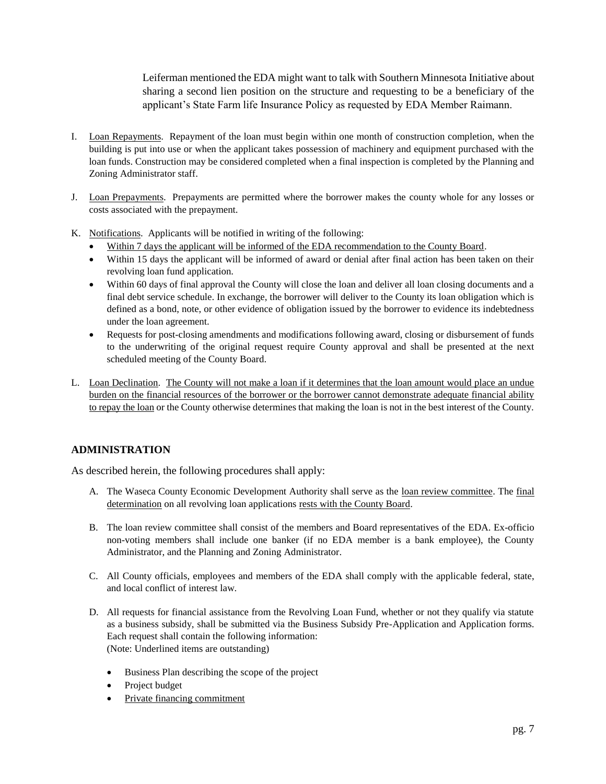Leiferman mentioned the EDA might want to talk with Southern Minnesota Initiative about sharing a second lien position on the structure and requesting to be a beneficiary of the applicant's State Farm life Insurance Policy as requested by EDA Member Raimann.

- I. Loan Repayments. Repayment of the loan must begin within one month of construction completion, when the building is put into use or when the applicant takes possession of machinery and equipment purchased with the loan funds. Construction may be considered completed when a final inspection is completed by the Planning and Zoning Administrator staff.
- J. Loan Prepayments. Prepayments are permitted where the borrower makes the county whole for any losses or costs associated with the prepayment.
- K. Notifications. Applicants will be notified in writing of the following:
	- Within 7 days the applicant will be informed of the EDA recommendation to the County Board.
	- Within 15 days the applicant will be informed of award or denial after final action has been taken on their revolving loan fund application.
	- Within 60 days of final approval the County will close the loan and deliver all loan closing documents and a final debt service schedule. In exchange, the borrower will deliver to the County its loan obligation which is defined as a bond, note, or other evidence of obligation issued by the borrower to evidence its indebtedness under the loan agreement.
	- Requests for post-closing amendments and modifications following award, closing or disbursement of funds to the underwriting of the original request require County approval and shall be presented at the next scheduled meeting of the County Board.
- L. Loan Declination. The County will not make a loan if it determines that the loan amount would place an undue burden on the financial resources of the borrower or the borrower cannot demonstrate adequate financial ability to repay the loan or the County otherwise determines that making the loan is not in the best interest of the County.

### **ADMINISTRATION**

As described herein, the following procedures shall apply:

- A. The Waseca County Economic Development Authority shall serve as the loan review committee. The final determination on all revolving loan applications rests with the County Board.
- B. The loan review committee shall consist of the members and Board representatives of the EDA. Ex-officio non-voting members shall include one banker (if no EDA member is a bank employee), the County Administrator, and the Planning and Zoning Administrator.
- C. All County officials, employees and members of the EDA shall comply with the applicable federal, state, and local conflict of interest law.
- D. All requests for financial assistance from the Revolving Loan Fund, whether or not they qualify via statute as a business subsidy, shall be submitted via the Business Subsidy Pre-Application and Application forms. Each request shall contain the following information: (Note: Underlined items are outstanding)
	- Business Plan describing the scope of the project
	- Project budget
	- Private financing commitment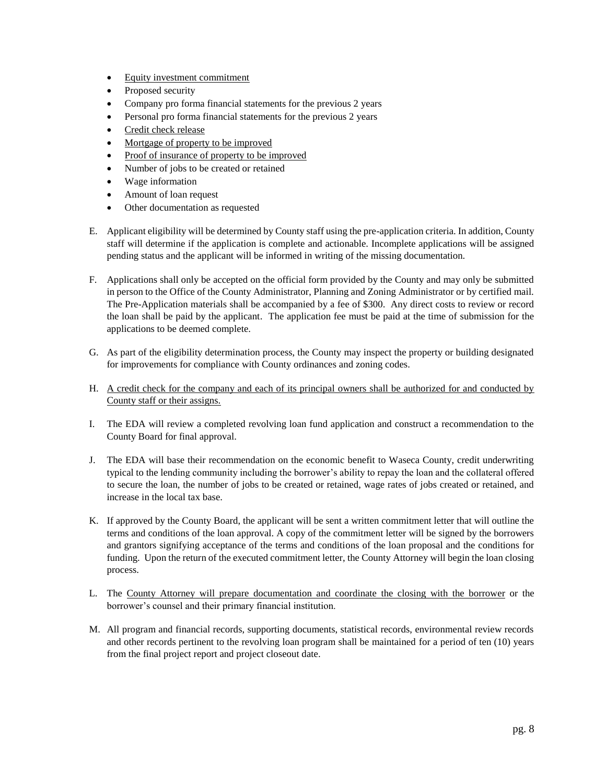- Equity investment commitment
- Proposed security
- Company pro forma financial statements for the previous 2 years
- Personal pro forma financial statements for the previous 2 years
- Credit check release
- Mortgage of property to be improved
- Proof of insurance of property to be improved
- Number of jobs to be created or retained
- Wage information
- Amount of loan request
- Other documentation as requested
- E. Applicant eligibility will be determined by County staff using the pre-application criteria. In addition, County staff will determine if the application is complete and actionable. Incomplete applications will be assigned pending status and the applicant will be informed in writing of the missing documentation.
- F. Applications shall only be accepted on the official form provided by the County and may only be submitted in person to the Office of the County Administrator, Planning and Zoning Administrator or by certified mail. The Pre-Application materials shall be accompanied by a fee of \$300. Any direct costs to review or record the loan shall be paid by the applicant. The application fee must be paid at the time of submission for the applications to be deemed complete.
- G. As part of the eligibility determination process, the County may inspect the property or building designated for improvements for compliance with County ordinances and zoning codes.
- H. A credit check for the company and each of its principal owners shall be authorized for and conducted by County staff or their assigns.
- I. The EDA will review a completed revolving loan fund application and construct a recommendation to the County Board for final approval.
- J. The EDA will base their recommendation on the economic benefit to Waseca County, credit underwriting typical to the lending community including the borrower's ability to repay the loan and the collateral offered to secure the loan, the number of jobs to be created or retained, wage rates of jobs created or retained, and increase in the local tax base.
- K. If approved by the County Board, the applicant will be sent a written commitment letter that will outline the terms and conditions of the loan approval. A copy of the commitment letter will be signed by the borrowers and grantors signifying acceptance of the terms and conditions of the loan proposal and the conditions for funding. Upon the return of the executed commitment letter, the County Attorney will begin the loan closing process.
- L. The County Attorney will prepare documentation and coordinate the closing with the borrower or the borrower's counsel and their primary financial institution.
- M. All program and financial records, supporting documents, statistical records, environmental review records and other records pertinent to the revolving loan program shall be maintained for a period of ten (10) years from the final project report and project closeout date.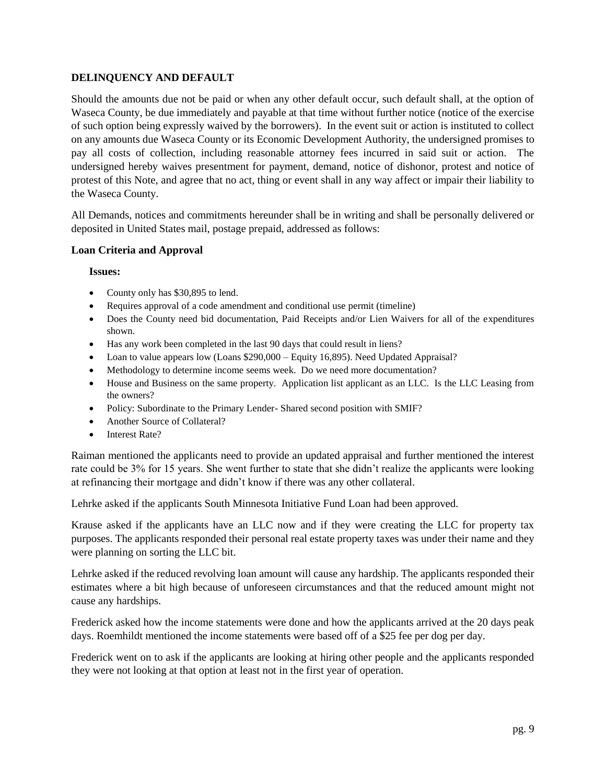### **DELINQUENCY AND DEFAULT**

Should the amounts due not be paid or when any other default occur, such default shall, at the option of Waseca County, be due immediately and payable at that time without further notice (notice of the exercise of such option being expressly waived by the borrowers). In the event suit or action is instituted to collect on any amounts due Waseca County or its Economic Development Authority, the undersigned promises to pay all costs of collection, including reasonable attorney fees incurred in said suit or action. The undersigned hereby waives presentment for payment, demand, notice of dishonor, protest and notice of protest of this Note, and agree that no act, thing or event shall in any way affect or impair their liability to the Waseca County.

All Demands, notices and commitments hereunder shall be in writing and shall be personally delivered or deposited in United States mail, postage prepaid, addressed as follows:

#### **Loan Criteria and Approval**

#### **Issues:**

- County only has \$30,895 to lend.
- Requires approval of a code amendment and conditional use permit (timeline)
- Does the County need bid documentation, Paid Receipts and/or Lien Waivers for all of the expenditures shown.
- Has any work been completed in the last 90 days that could result in liens?
- Loan to value appears low (Loans \$290,000 Equity 16,895). Need Updated Appraisal?
- Methodology to determine income seems week. Do we need more documentation?
- House and Business on the same property. Application list applicant as an LLC. Is the LLC Leasing from the owners?
- Policy: Subordinate to the Primary Lender- Shared second position with SMIF?
- Another Source of Collateral?
- Interest Rate?

Raiman mentioned the applicants need to provide an updated appraisal and further mentioned the interest rate could be 3% for 15 years. She went further to state that she didn't realize the applicants were looking at refinancing their mortgage and didn't know if there was any other collateral.

Lehrke asked if the applicants South Minnesota Initiative Fund Loan had been approved.

Krause asked if the applicants have an LLC now and if they were creating the LLC for property tax purposes. The applicants responded their personal real estate property taxes was under their name and they were planning on sorting the LLC bit.

Lehrke asked if the reduced revolving loan amount will cause any hardship. The applicants responded their estimates where a bit high because of unforeseen circumstances and that the reduced amount might not cause any hardships.

Frederick asked how the income statements were done and how the applicants arrived at the 20 days peak days. Roemhildt mentioned the income statements were based off of a \$25 fee per dog per day.

Frederick went on to ask if the applicants are looking at hiring other people and the applicants responded they were not looking at that option at least not in the first year of operation.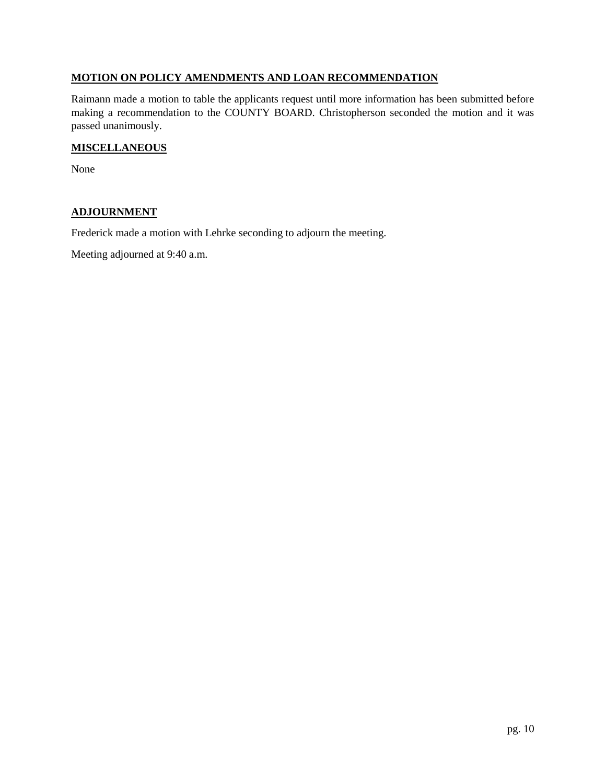### **MOTION ON POLICY AMENDMENTS AND LOAN RECOMMENDATION**

Raimann made a motion to table the applicants request until more information has been submitted before making a recommendation to the COUNTY BOARD. Christopherson seconded the motion and it was passed unanimously.

#### **MISCELLANEOUS**

None

### **ADJOURNMENT**

Frederick made a motion with Lehrke seconding to adjourn the meeting.

Meeting adjourned at 9:40 a.m.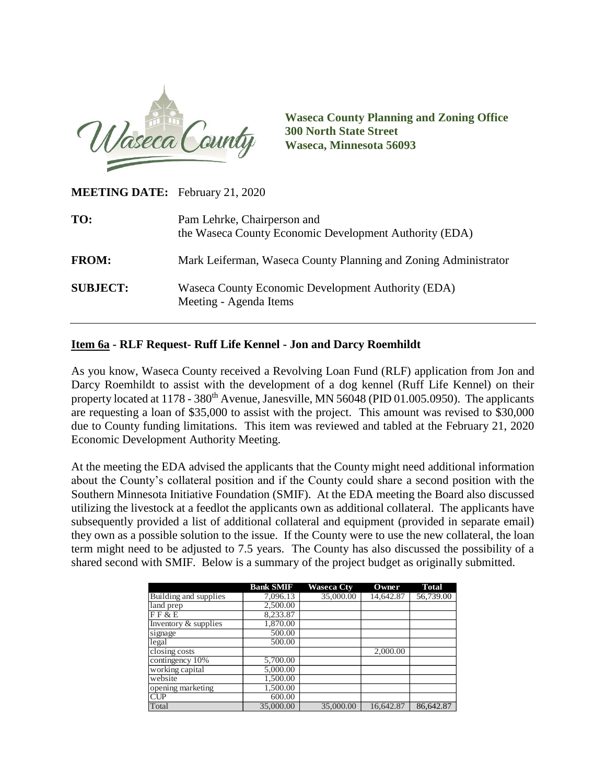

**Waseca County Planning and Zoning Office 300 North State Street Waseca, Minnesota 56093**

**MEETING DATE:** February 21, 2020

| TO:             | Pam Lehrke, Chairperson and<br>the Waseca County Economic Development Authority (EDA) |
|-----------------|---------------------------------------------------------------------------------------|
| <b>FROM:</b>    | Mark Leiferman, Waseca County Planning and Zoning Administrator                       |
| <b>SUBJECT:</b> | Waseca County Economic Development Authority (EDA)<br>Meeting - Agenda Items          |

## **Item 6a - RLF Request- Ruff Life Kennel - Jon and Darcy Roemhildt**

As you know, Waseca County received a Revolving Loan Fund (RLF) application from Jon and Darcy Roemhildt to assist with the development of a dog kennel (Ruff Life Kennel) on their property located at  $1178 - 380$ <sup>th</sup> Avenue, Janesville, MN 56048 (PID 01.005.0950). The applicants are requesting a loan of \$35,000 to assist with the project. This amount was revised to \$30,000 due to County funding limitations. This item was reviewed and tabled at the February 21, 2020 Economic Development Authority Meeting.

At the meeting the EDA advised the applicants that the County might need additional information about the County's collateral position and if the County could share a second position with the Southern Minnesota Initiative Foundation (SMIF). At the EDA meeting the Board also discussed utilizing the livestock at a feedlot the applicants own as additional collateral. The applicants have subsequently provided a list of additional collateral and equipment (provided in separate email) they own as a possible solution to the issue. If the County were to use the new collateral, the loan term might need to be adjusted to 7.5 years. The County has also discussed the possibility of a shared second with SMIF. Below is a summary of the project budget as originally submitted.

|                       | <b>Bank SMIF</b> | <b>Waseca Ctv</b> | Owner     | <b>Total</b> |
|-----------------------|------------------|-------------------|-----------|--------------|
| Building and supplies | 7,096.13         | 35,000.00         | 14,642.87 | 56,739.00    |
| land prep             | 2,500.00         |                   |           |              |
| FF & E                | 8,233.87         |                   |           |              |
| Inventory & supplies  | 1,870.00         |                   |           |              |
| signage               | 500.00           |                   |           |              |
| legal                 | 500.00           |                   |           |              |
| closing costs         |                  |                   | 2,000.00  |              |
| contingency 10%       | 5,700.00         |                   |           |              |
| working capital       | 5,000.00         |                   |           |              |
| website               | 1,500.00         |                   |           |              |
| opening marketing     | 1,500.00         |                   |           |              |
| CUP                   | 600.00           |                   |           |              |
| Total                 | 35,000.00        | 35,000.00         | 16.642.87 | 86,642.87    |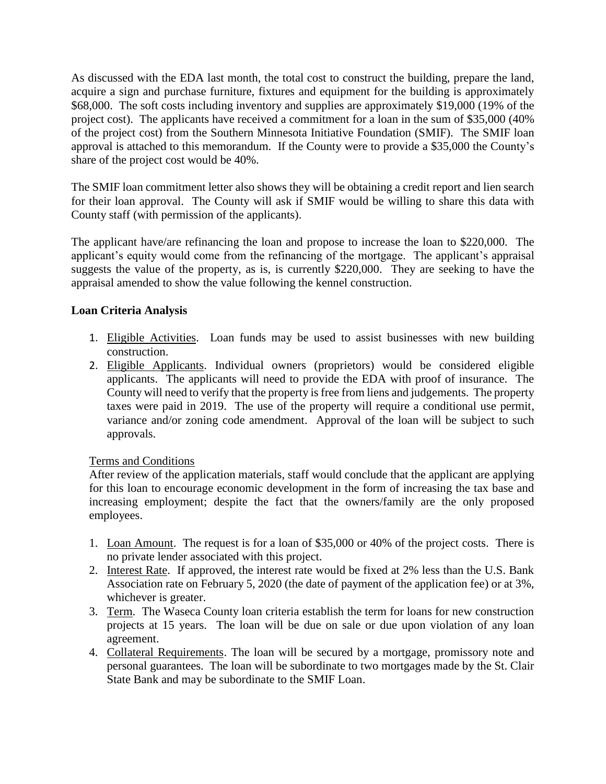As discussed with the EDA last month, the total cost to construct the building, prepare the land, acquire a sign and purchase furniture, fixtures and equipment for the building is approximately \$68,000. The soft costs including inventory and supplies are approximately \$19,000 (19% of the project cost). The applicants have received a commitment for a loan in the sum of \$35,000 (40% of the project cost) from the Southern Minnesota Initiative Foundation (SMIF). The SMIF loan approval is attached to this memorandum. If the County were to provide a \$35,000 the County's share of the project cost would be 40%.

The SMIF loan commitment letter also shows they will be obtaining a credit report and lien search for their loan approval. The County will ask if SMIF would be willing to share this data with County staff (with permission of the applicants).

The applicant have/are refinancing the loan and propose to increase the loan to \$220,000. The applicant's equity would come from the refinancing of the mortgage. The applicant's appraisal suggests the value of the property, as is, is currently \$220,000. They are seeking to have the appraisal amended to show the value following the kennel construction.

# **Loan Criteria Analysis**

- 1. Eligible Activities. Loan funds may be used to assist businesses with new building construction.
- 2. Eligible Applicants. Individual owners (proprietors) would be considered eligible applicants. The applicants will need to provide the EDA with proof of insurance. The County will need to verify that the property is free from liens and judgements. The property taxes were paid in 2019. The use of the property will require a conditional use permit, variance and/or zoning code amendment. Approval of the loan will be subject to such approvals.

## Terms and Conditions

After review of the application materials, staff would conclude that the applicant are applying for this loan to encourage economic development in the form of increasing the tax base and increasing employment; despite the fact that the owners/family are the only proposed employees.

- 1. Loan Amount. The request is for a loan of \$35,000 or 40% of the project costs. There is no private lender associated with this project.
- 2. Interest Rate. If approved, the interest rate would be fixed at 2% less than the U.S. Bank Association rate on February 5, 2020 (the date of payment of the application fee) or at 3%, whichever is greater.
- 3. Term. The Waseca County loan criteria establish the term for loans for new construction projects at 15 years. The loan will be due on sale or due upon violation of any loan agreement.
- 4. Collateral Requirements. The loan will be secured by a mortgage, promissory note and personal guarantees. The loan will be subordinate to two mortgages made by the St. Clair State Bank and may be subordinate to the SMIF Loan.